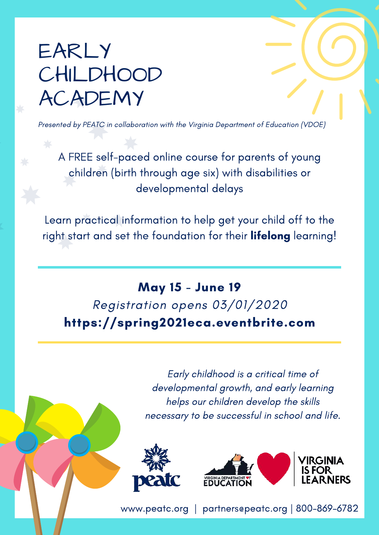## EARLY **CHILDHOOD** ACADEMY

Presented by PEATC in collaboration with the Virginia Department of Education (VDOE)

A FREE self-paced online course for parents of young children (birth through age six) with disabilities or developmental delays

Learn practical information to help get your child off to the right start and set the foundation for their lifelong learning!

## May 15 - June 19 Registration opens 03/01/2020 [https://spring2021eca.eventbrite.com](https://spring2021eca.eventbrite.com/)

Early childhood is a critical time of developmental growth, and early learning helps our children develop the skills necessary to be successful in school and life.





[www.peatc.org](http://www.peatc.org/) | [partners@peatc.org](mailto:partners@peatc.org) | 800-869-6782